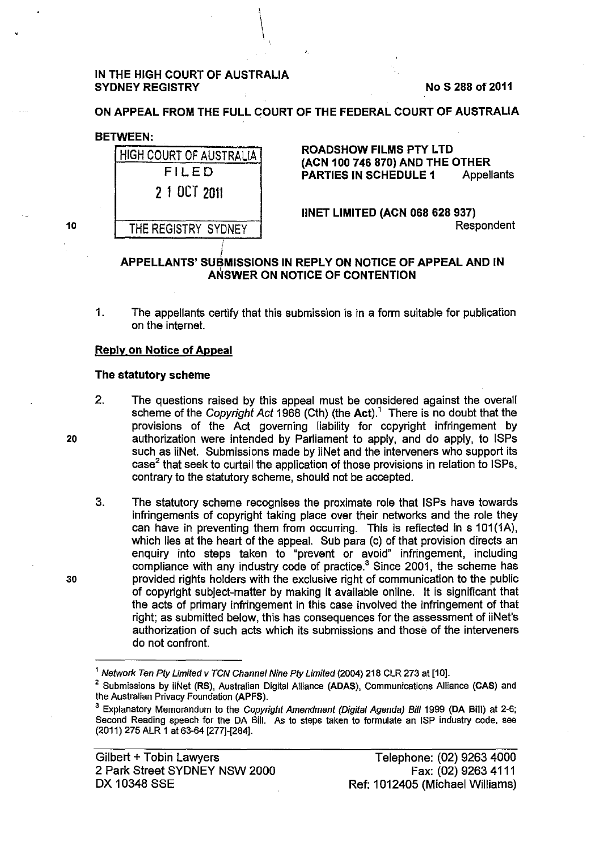# IN THE HIGH COURT OF AUSTRALIA SYDNEY REGISTRY No S 288 of 2011

ON APPEAL FROM THE FULL COURT OF THE FEDERAL COURT OF AUSTRALIA

 $\bigg\vert$ 

# BETWEEN:

| <b>HIGH COURT OF AUSTRALIA</b> | <b>ROADSHOW FILMS PTY LTD</b><br>(ACN 100 746 870) AND THE OTHER<br><b>PARTIES IN SCHEDULE 1</b><br><b>Appellants</b> |
|--------------------------------|-----------------------------------------------------------------------------------------------------------------------|
| FILED                          |                                                                                                                       |
| 2 1 OCT 2011                   |                                                                                                                       |
|                                | <b>IINET LIMITED (ACN 068 628 937)</b>                                                                                |
| THE REGISTRY SYDNEY            | Respondent                                                                                                            |
|                                |                                                                                                                       |

# *i*  APPELLANTS' SUBMISSIONS IN REPLY ON NOTICE OF APPEAL AND IN ANSWER ON NOTICE OF CONTENTION

1. The appellants certify that this submission is in a form suitable for publication on the internet.

# Reply on Notice of Appeal

# The statutory scheme

- 2. The questions raised by this appeal must be considered against the overall scheme of the Copyright Act 1968 (Cth) (the Act).<sup>1</sup> There is no doubt that the provisions of the Act governing liability for copyright infringement by authorization were intended by Parliament to apply, and do apply, to ISPs such as iiNet. Submissions made by iiNet and the interveners who support its case<sup>2</sup> that seek to curtail the application of those provisions in relation to ISPs, contrary to the statutory scheme, should not be accepted.
- 3. The statutory scheme recognises the proximate role that ISPs have towards infringements of copyright taking place over their networks and the role they can have in preventing them from occurring. This is reflected in s 101(1A), which lies at the heart of the appeal. Sub para (c) of that provision directs an enquiry into steps taken to "prevent or avoid" infringement, including compliance with any industry code of practice.<sup>3</sup> Since 2001, the scheme has provided rights holders with the exclusive right of communication to the public of copyright subject-matter by making it available online. It is significant that the acts of primary infringement in this case involved the infringement of that right; as submitted below, this has consequences for the assessment of iiNet's authorization of such acts which its submissions and those of the interveners do not confront.

20

30

<sup>&</sup>lt;sup>1</sup> Network Ten Pty Limited v TCN Channel Nine Pty Limited (2004) 218 CLR 273 at [10].

<sup>&</sup>lt;sup>2</sup> Submissions by iiNet (RS), Australian Digital Alliance (ADAS), Communications Alliance (CAS) and the Australian Privacy Foundation (APFS).

<sup>3</sup>Explanatory Memorandum to the Copyright Amendment (Digital Agenda) Bill 1999 (DA Bill) at 2-6; Second Reading speech for the DA Bill. As to steps taken to formulate an ISP industry code, see (2011) 275 ALR 1 at 63-64 [277]-[284].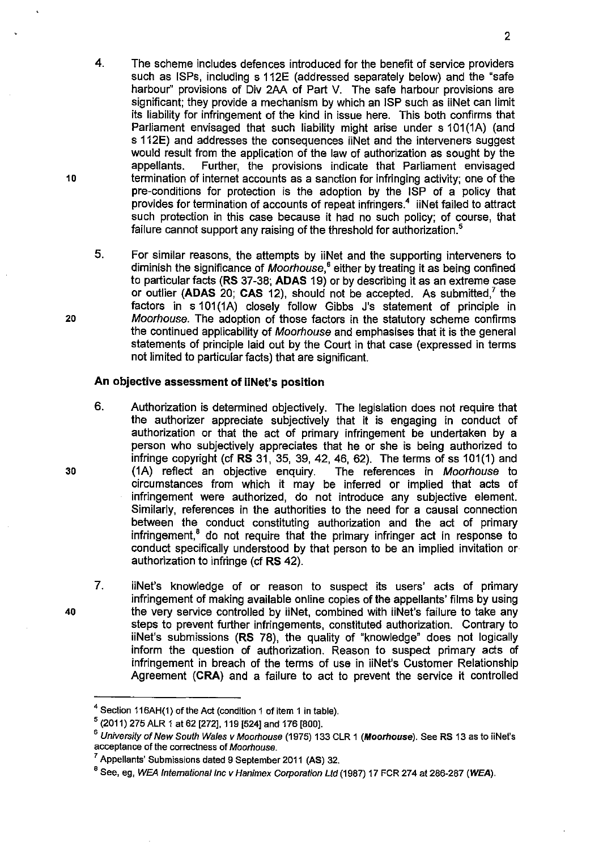- 4. The scheme includes defences introduced for the benefit of service providers such as ISPs, including s 112E (addressed separately below) and the "safe harbour" provisions of Div 2AA of Part V. The safe harbour provisions are significant; they provide a mechanism by which an ISP such as iiNet can limit its liability for infringement of the kind in issue here. This both confirms that Parliament envisaged that such liability might arise under s 101(1A) (and s 112E) and addresses the consequences iiNet and the interveners suggest would result from the application of the law of authorization as sought by the appellants. Further, the provisions indicate that Parliament envisaged termination of internet accounts as a sanction for infringing activity; one of the pre-conditions for protection is the adoption by the ISP of a policy that provides for termination of accounts of repeat infringers.<sup>4</sup> iiNet failed to attract such protection in this case because it had no such policy; of course, that failure cannot support any raising of the threshold for authorization.<sup>5</sup>
- 5. For similar reasons, the attempts by iiNet and the supporting interveners to diminish the significance of Moorhouse, $<sup>6</sup>$  either by treating it as being confined</sup> to particular facts **(RS** 37 -38; **ADAS** 19) or by describing it as an extreme case or outlier **(ADAS 20; CAS 12), should not be accepted.** As submitted,<sup>7</sup> the factors in s 101(1A) closely follow Gibbs J's statement of principle in Moorhouse. The adoption of those factors in the statutory scheme confirms the continued applicability of Moorhouse and emphasises that it is the general statements of principle laid out by the Court in that case (expressed in terms not limited to particular facts) that are significant.

# **An objective assessment of iiNet's position**

- 6. Authorization is determined objectively. The legislation does not require that the authorizer appreciate subjectively that it is engaging in conduct of authorization or that the act of primary infringement be undertaken by a person who subjectively appreciates that he or she is being authorized to infringe copyright (cf **RS** 31, 35, 39, 42, 46, 62). The terms of ss 101(1) and (1A) reflect an objective enquiry. The references in Moorhouse to circumstances from which it may be inferred or implied that acts of infringement were authorized, do not introduce any subjective element. Similarly, references in the authorities to the need for a causal connection between the conduct constituting authorization and the act of primary infringement,<sup>8</sup> do not require that the primary infringer act in response to conduct specifically understood by that person to be an implied invitation or authorization to infringe (cf **RS** 42).
- 7. iiNet's knowledge of or reason to suspect its users' acts of primary infringement of making available online copies of the appellants' films by using the very service controlled by iiNet, combined with iiNet's failure to take any steps to prevent further infringements, constituted authorization. Contrary to iiNet's submissions **(RS** 78), the quality of "knowledge" does not logically inform the question of authorization. Reason to suspect primary acts of infringement in breach of the terms of use in iiNet's Customer Relationship Agreement **(CRA)** and a failure to act to prevent the service it controlled

10

20

30

<sup>&</sup>lt;sup>4</sup> Section 116AH(1) of the Act (condition 1 of item 1 in table).

 $5$  (2011) 275 ALR 1 at 62 [272], 119 [524] and 176 [800].

<sup>&</sup>lt;sup>6</sup> University of New South Wales v Moorhouse (1975) 133 CLR 1 (Moorhouse). See RS 13 as to iiNet's acceptance of the correctness of Moorhouse.

<sup>7</sup>Appellants' Submissions dated 9 September 2011 (AS) 32.

<sup>&</sup>lt;sup>8</sup> See, eg, WEA International Inc v Hanimex Corporation Ltd (1987) 17 FCR 274 at 286-287 (WEA).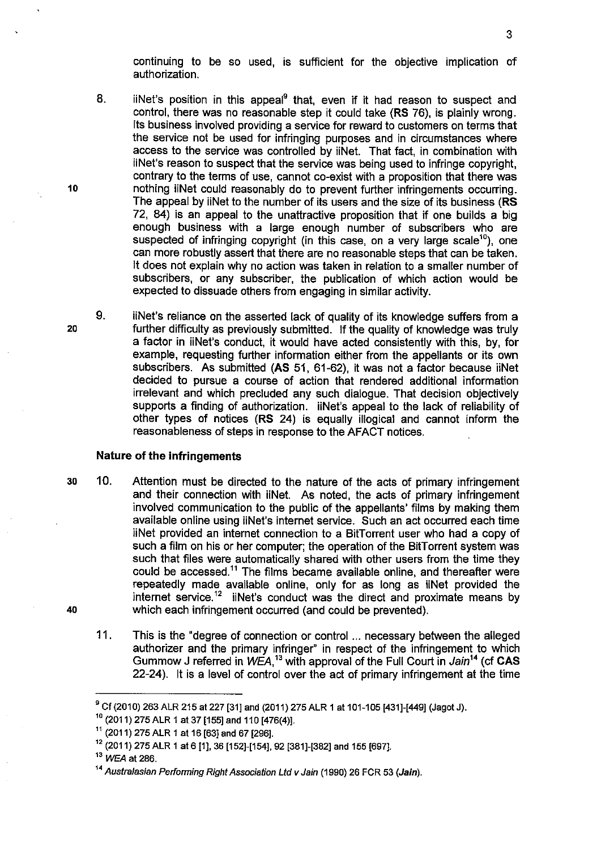continuing to be so used, is sufficient for the objective implication of authorization.

- 8. iiNet's position in this appeal $9$  that, even if it had reason to suspect and control, there was no reasonable step it could take **(RS** 76), is plainly wrong. Its business involved providing a service for reward to customers on terms that the service not be used for infringing purposes and in circumstances where access to the service was controlled by iiNet. That fact, in combination with iiNet's reason to suspect that the service was being used to infringe copyright, contrary to the terms of use, cannot co-exist with a proposition that there was nothing iiNet could reasonably do to prevent further infringements occurring. The appeal by iiNet to the number of its users and the size of its business (RS 72, 84) is an appeal to the unattractive proposition that if one builds a big enough business with a large enough number of subscribers who are suspected of infringing copyright (in this case, on a very large scale<sup>10</sup>), one can more robustly assert that there are no reasonable steps that can be taken. It does not explain why no action was taken in relation to a smaller number of subscribers, or any subscriber, the publication of which action would be expected to dissuade others from engaging in similar activity.
- 9. iiNet's reliance on the asserted lack of quality of its knowledge suffers from a further difficulty as previously submitted. If the quality of knowledge was truly a factor in iiNet's conduct, it would have acted consistently with this, by, for example, requesting further information either from the appellants or its own subscribers. As submitted **(AS** 51, 61-62), it was not a factor because iiNet decided to pursue a course of action that rendered additional information irrelevant and which precluded any such dialogue. That decision objectively supports a finding of authorization. iiNet's appeal to the lack of reliability of other types of notices **(RS** 24) is equally illogical and cannot inform the reasonableness of steps in response to the AFACT notices.

## **Nature of the infringements**

- 30 10. Attention must be directed to the nature of the acts of primary infringement and their connection with iiNet. As noted, the acts of primary infringement involved communication to the public of the appellants' films by making them available online using iiNet's internet service. Such an act occurred each time iiNet provided an internet connection to a BitTorrent user who had a copy of such a film on his or her computer; the operation of the BitTorrent system was such that files were automatically shared with other users from the time they could be accessed.<sup>11</sup> The films became available online, and thereafter were repeatedly made available online, only for as long as iiNet provided the internet service.<sup>12</sup> iiNet's conduct was the direct and proximate means by 40 which each infringement occurred (and could be prevented).
	- 11. This is the "degree of connection or control ... necessary between the alleged authorizer and the primary infringer" in respect of the infringement to which Gummow J referred in WEA,<sup>13</sup> with approval of the Full Court in Jain<sup>14</sup> (cf CAS 22-24). It is a level of control over the act of primary infringement at the time

10

<sup>&</sup>lt;sup>9</sup> Cf (2010) 263 ALR 215 at 227 [31] and (2011) 275 ALR 1 at 101-105 [431]-[449] (Jagot J).

 $10$  (2011) 275 ALR 1 at 37 [155] and 110 [476(4)].

 $11$  (2011) 275 ALR 1 at 16 [63] and 67 [296].

<sup>12</sup>(2011) 275 ALR 1 at 6 [1], 36 [152]-[154]. 92 [381]-[382] and 155 [697].

<sup>&</sup>lt;sup>13</sup> WEA at 286.

<sup>&</sup>lt;sup>14</sup> Australasian Performing Right Association Ltd v Jain (1990) 26 FCR 53 (Jain).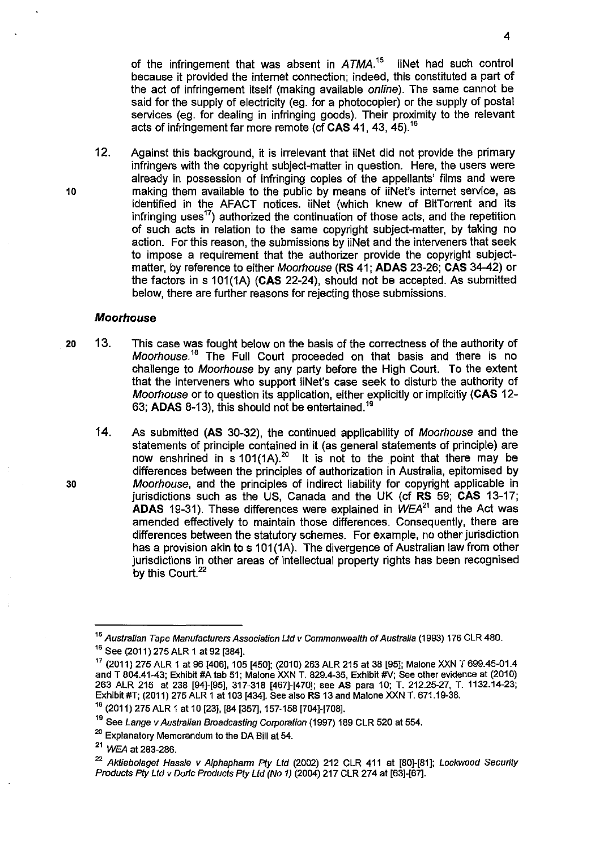of the infringement that was absent in  $ATMA$ <sup>15</sup> iiNet had such control because it provided the internet connection; indeed, this constituted a part of the act of infringement itself (making available *online*). The same cannot be said for the supply of electricity (eg. for a photocopier) or the supply of postal services (eg. for dealing in infringing goods). Their proximity to the relevant acts of infringement far more remote (cf **CAS** 41, 43, 45). <sup>16</sup>

12. Against this background, it is irrelevant that iiNet did not provide the primary infringers with the copyright subject-matter in question. Here, the users were already in possession of infringing copies of the appellants' films and were making them available to the public by means of iiNet's internet service, as identified in the AFACT notices. iiNet (which knew of BitTorrent and its infringing uses<sup>17</sup>) authorized the continuation of those acts, and the repetition of such acts in relation to the same copyright subject-matter, by taking no action. For this reason, the submissions by iiNet and the interveners that seek to impose a requirement that the authorizer provide the copyright subjectmatter, by reference to either Moorhouse **(RS** 41; **ADAS** 23-26; **CAS** 34-42) or the factors in s 101 (1A) **(CAS** 22-24), should not be accepted. As submitted below, there are further reasons for rejecting those submissions.

## **Moorhouse**

- 20 13. This case was fought below on the basis of the correctness of the authority of Moorhouse.<sup>18</sup> The Full Court proceeded on that basis and there is no challenge to Moorhouse by any party before the High Court. To the extent that the interveners who support iiNet's case seek to disturb the authority of Moorhouse or to question its application, either explicitly or implicitly **(CAS** 12- 63; **ADAS** 8-13), this should not be entertained. <sup>19</sup>
	- 14. As submitted **(AS** 30-32), the continued applicability of Moorhouse and the statements of principle contained in it (as general statements of principle) are now enshrined in s 101(1A).<sup>20</sup> It is not to the point that there may be differences between the principles of authorization in Australia, epitomised by Moorhouse, and the principles of indirect liability for copyright applicable in jurisdictions such as the US, Canada and the UK (cf **RS** 59; **CAS** 13-17; **ADAS** 19-31). These differences were explained in WEA*<sup>21</sup>*and the Act was amended effectively to maintain those differences. Consequently, there are differences between the statutory schemes. For example, no other jurisdiction has a provision akin to s 101(1A). The divergence of Australian law from other jurisdictions in other areas of intellectual property rights has been recognised by this Court.<sup>22</sup>

4

30

<sup>&</sup>lt;sup>15</sup> Australian Tape Manufacturers Association Ltd v Commonwealth of Australia (1993) 176 CLR 480. <sup>16</sup> See (2011) 275 ALR 1 at 92 [384].

<sup>17</sup>(2011) 275 ALR 1 at 96 [406], 105 [450]; (2010) 263 ALR 215 at 38 [95]; Malone XXN T 699.45-01.4 and T 804.41-43; Exhibit #A tab 51; Malone XXN T. 829.4-35, Exhibit #V; See other evidence at (2010) 263 ALR 215 at 238 [94]-[95], 317-318 [467]-[470]; see AS para 10; T. 212.25-27, T. 1132.14-23; Exhibit #T; (2011) 275 ALR 1 at 103 [434]. See also RS 13 and Malone XXN T. 671.19-38.

<sup>18</sup>(2011) 275 ALR 1 at 10 [23], [84 [357], 157-158 [704]-[708].

<sup>&</sup>lt;sup>19</sup> See Lange v Australian Broadcasting Corporation (1997) 189 CLR 520 at 554.

<sup>&</sup>lt;sup>20</sup> Explanatory Memorandum to the DA Bill at 54.

<sup>&</sup>lt;sup>21</sup> WEA at 283-286.

<sup>&</sup>lt;sup>22</sup> Aktiebolaget Hassle v Alphapharm Pty Ltd (2002) 212 CLR 411 at [80]-[81]; Lockwood Security Products *Ply* Ltd v Doric Products Ply Ltd (No 1) (2004) 217 CLR 274 at [63]-[67].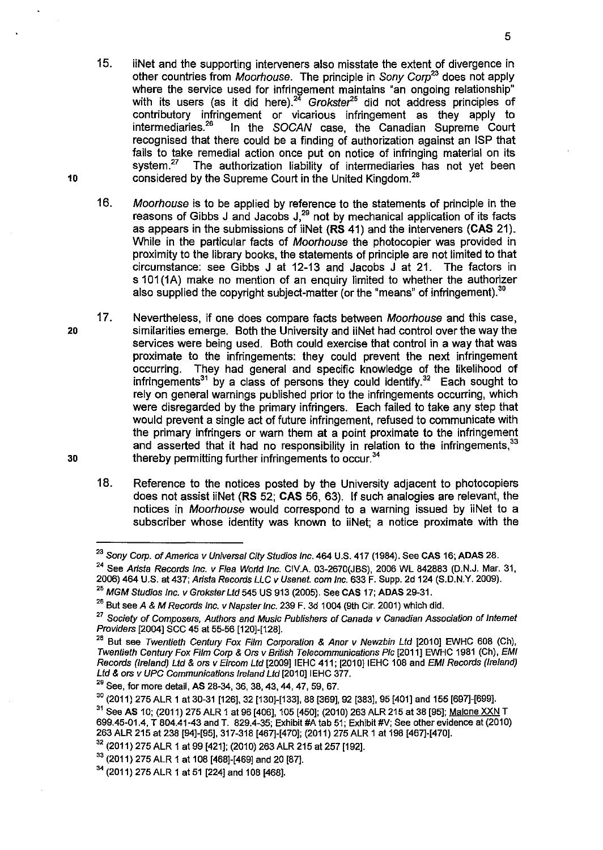- 15. iiNet and the supporting interveners also misstate the extent of divergence in other countries from *Moorhouse*. The principle in Sony Corp<sup>23</sup> does not apply where the service used for infringement maintains "an ongoing relationship" with its users (as it did here). $24\text{ Grokster}^{25}$  did not address principles of contributory infringement or vicarious infringement as they apply to intermediaries.<sup>26</sup> In the SOCAN case, the Canadian Supreme Court In the SOCAN case, the Canadian Supreme Court recognised that there could be a finding of authorization against an ISP that fails to take remedial action once put on notice of infringing material on its system.<sup>27</sup> The authorization liability of intermediaries has not yet been considered by the Supreme Court in the United Kingdom.<sup>28</sup>
- 16. Moorhouse is to be applied by reference to the statements of principle in the reasons of Gibbs J and Jacobs  $J<sub>1</sub><sup>29</sup>$  not by mechanical application of its facts as appears in the submissions of iiNet **(RS** 41) and the interveners **(CAS** 21). While in the particular facts of Moorhouse the photocopier was provided in proximity to the library books, the statements of principle are not limited to that circumstance: see Gibbs J at 12-13 and Jacobs J at 21. The factors in s 101(1A) make no mention of an enquiry limited to whether the authorizer also supplied the copyright subject-matter (or the "means" of infringement). $30$
- 17. Nevertheless, if one does compare facts between Moorhouse and this case, similarities emerge. Both the University and iiNet had control over the way the services were being used. Both could exercise that control in a way that was proximate to the infringements: they could prevent the next infringement occurring. They had general and specific knowledge of the likelihood of infringements<sup>31</sup> by a class of persons they could identify.<sup>32</sup> Each sought to rely on general warnings published prior to the infringements occurring, which were disregarded by the primary infringers. Each failed to take any step that would prevent a single act of future infringement, refused to communicate with the primary infringers or warn them at a point proximate to the infringement and asserted that it had no responsibility in relation to the infringements.<sup>33</sup> thereby permitting further infringements to occur.<sup>34</sup>
	- 18. Reference to the notices posted by the University adjacent to photocopiers does not assist iiNet **(RS** 52; **CAS** 56, 63). If such analogies are relevant, the notices in Moorhouse would correspond to a warning issued by iiNet to a subscriber whose identity was known to iiNet; a notice proximate with the

10

30

<sup>&</sup>lt;sup>23</sup> Sony Corp. of America v Universal City Studios Inc. 464 U.S. 417 (1984). See CAS 16; ADAS 28.

<sup>&</sup>lt;sup>24</sup> See Arista Records Inc. v Flea World Inc. CIV.A. 03-2670(JBS), 2006 WL 842883 (D.N.J. Mar. 31, 2006) 464 U.S. at 437; Arista Records LLC v Usenet. com Inc. 633 F. Supp. 2d 124 (S.D.N.Y. 2009).

 $^{25}$  MGM Studios Inc. v Grokster Ltd 545 US 913 (2005). See CAS 17; ADAS 29-31.

 $^{26}$  But see A & M Records Inc. v Napster Inc. 239 F. 3d 1004 (9th Cir. 2001) which did.

<sup>&</sup>lt;sup>27</sup> Society of Composers, Authors and Music Publishers of Canada v Canadian Association of Internet Providers [2004] SCC 45 at 55-56 [120]-[128].

 $28$  But see Twentieth Century Fox Film Corporation & Anor v Newzbin Ltd [2010] EWHC 608 (Ch), Twentieth Century Fox Film Corp & Ors v British Telecommunications Plc [2011] EWHC 1981 (Ch), EMI Records (Ireland) Ltd & ors v Eircom Ltd [2009] IEHC 411; [2010] IEHC 108 and EMI Records (Ireland) Ltd & ors v UPC Communications Ireland Ltd [2010] IEHC 377.

<sup>&</sup>lt;sup>29</sup> See, for more detail, AS 28-34, 36, 38, 43, 44, 47, 59, 67.

 $30$  (2011) 275 ALR 1 at 30-31 [126], 32 [130]-[133], 88 [369], 92 [383], 95 [401] and 155 [697]-[699].

<sup>&</sup>lt;sup>31</sup> See AS 10; (2011) 275 ALR 1 at 96 [406], 105 [450]; (2010) 263 ALR 215 at 38 [95]; Malone XXN T 699.45-01.4, T 804.41-43 and T. 829.4-35; Exhibit #A tab 51; Exhibit #V; See other evidence at (201 0) 263 ALR 215 at 238 [94]-[95], 317-318 [467]-[470]; (2011) 275 ALR 1 at 198 [467]-[470].

<sup>&</sup>lt;sup>32</sup> (2011) 275 ALR 1 at 99 [421]; (2010) 263 ALR 215 at 257 [192].

<sup>&</sup>lt;sup>33</sup> (2011) 275 ALR 1 at 108 [468]-[469] and 20 [87].

 $34$  (2011) 275 ALR 1 at 51 [224] and 108 [468].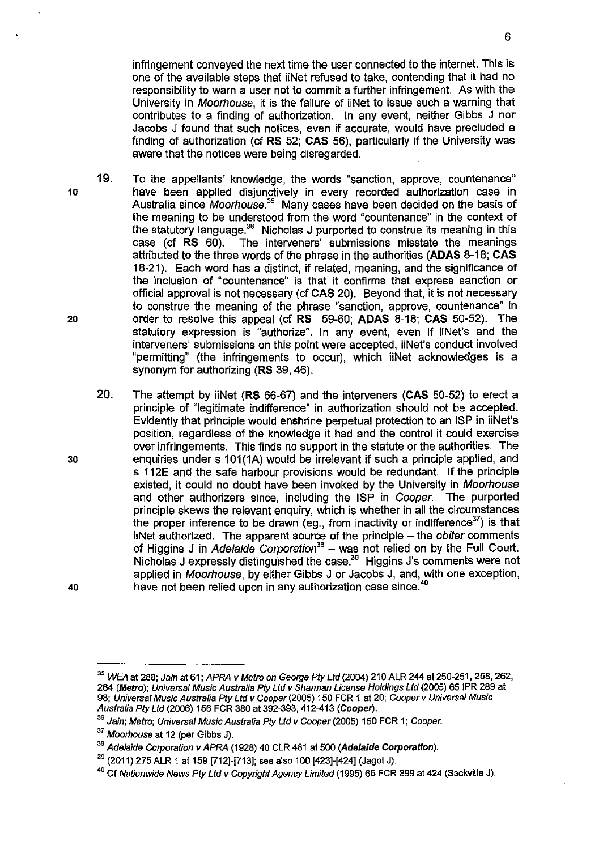infringement conveyed the next time the user connected to the internet. This is one of the available steps that iiNet refused to take, contending that it had no responsibility to warn a user not to commit a further infringement. As with the University in Moorhouse, it is the failure of iiNet to issue such a warning that contributes to a finding of authorization. In any event, neither Gibbs J nor Jacobs J found that such notices, even if accurate, would have precluded a finding of authorization (cf RS 52; **CAS** 56), particularly if the University was aware that the notices were being disregarded.

- 19. To the appellants' knowledge, the words "sanction, approve, countenance" 10 have been applied disjunctively in every recorded authorization case in Australia since *Moorhouse*.<sup>35</sup> Many cases have been decided on the basis of the meaning to be understood from the word "countenance" in the context of the statutory language. $36$  Nicholas J purported to construe its meaning in this case (cf **RS** 60). The interveners' submissions misstate the meanings attributed to the three words of the phrase in the authorities **(ADAS** 8-18; **CAS**  18-21 ). Each word has a distinct, if related, meaning, and the significance of the inclusion of "countenance" is that it confirms that express sanction or official approval is not necessary (cf **CAS** 20). Beyond that, it is not necessary to construe the meaning of the phrase "sanction, approve, countenance" in 20 order to resolve this appeal (cf **RS** 59-60; **ADAS** 8-18; **CAS** 50-52). The statutory expression is "authorize". In any event, even if iiNet's and the interveners' submissions on this point were accepted, iiNet's conduct involved "permitting" (the infringements to occur), which iiNet acknowledges is a synonym for authorizing **(RS** 39, 46).
- 20. The attempt by iiNet **(RS** 66-67) and the interveners **(CAS** 50-52) to erect a principle of "legitimate indifference" in authorization should not be accepted. Evidently that principle would enshrine perpetual protection to an ISP in iiNet's position, regardless of the knowledge it had and the control it could exercise over infringements. This finds no support in the statute or the authorities. The 30 enquiries under s 101 (1A) would be irrelevant if such a principle applied, and s 112E and the safe harbour provisions would be redundant. If the principle existed, it could no doubt have been invoked by the University in Moorhouse and other authorizers since, including the ISP in Cooper. The purported principle skews the relevant enquiry, which is whether in all the circumstances the proper inference to be drawn (eg., from inactivity or indifference<sup>37</sup>) is that iiNet authorized. The apparent source of the principle - the obiter comments of Higgins J in Adelaide Corporation*36* - was not relied on by the Full Court. Nicholas J expressly distinguished the case.<sup>39</sup> Higgins J's comments were not applied in Moorhouse, by either Gibbs J or Jacobs J, and, with one exception, 40 have not been relied upon in any authorization case since.<sup>40</sup>

<sup>35</sup>WEA at 288; Jain at 61; APRA v Metro on George *Pfy* Ltd (2004) 210 ALR 244 at 250-251, 258, 262, 264 (Metro); Universal Music Australia Pty Ltd v Sharman License Holdings Ltd (2005) 65 JPR 289 at 98; Universal Music Australia Pty Ltd v Cooper (2005) 150 FCR 1 at 20; Cooper v Universal Music Australia *Pfy* Ltd (2006) 156 FCR 380 at 392-393,412-413 (Coopet').

<sup>&</sup>lt;sup>36</sup> Jain; Metro; Universal Music Australia Pty Ltd v Cooper (2005) 150 FCR 1; Cooper.

<sup>&</sup>lt;sup>37</sup> Moorhouse at 12 (per Gibbs J).

<sup>&</sup>lt;sup>38</sup> Adelaide Corporation v APRA (1928) 40 CLR 481 at 500 (Adelaide Corporation).

 $39$  (2011) 275 ALR 1 at 159 [712]-[713]; see also 100 [423]-[424] (Jagot J).

<sup>4</sup> ° Cf Nationwide News *Pfy* Ltd v Copyright Agency Limited (1995) 65 FCR 399 at 424 (Sackville J).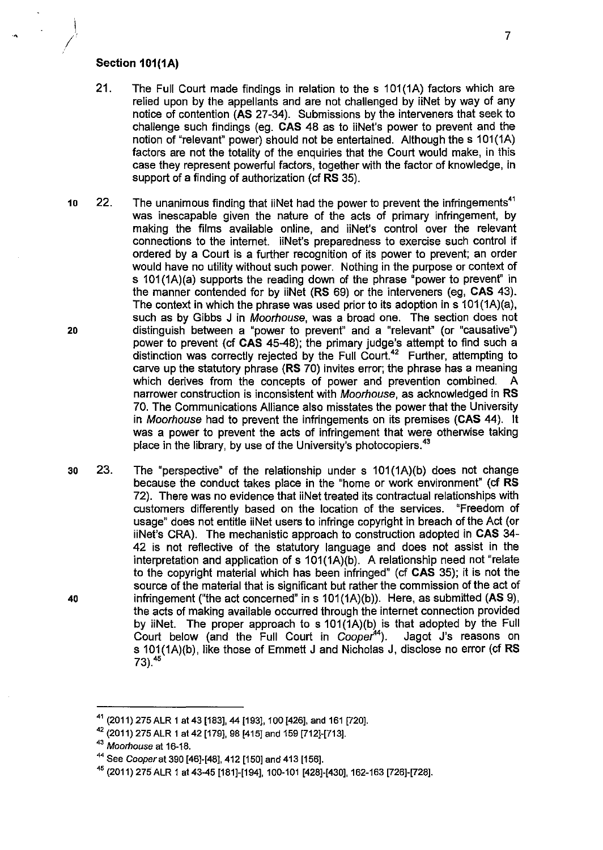# **Section 101(1A)**

•

I

- 21. The Full Court made findings in relation to the s 101(1A) factors which are relied upon by the appellants and are not challenged by iiNet by way of any notice of contention **(AS** 27 -34). Submissions by the interveners that seek to challenge such findings (eg. **CAS** 48 as to iiNet's power to prevent and the notion of "relevant" power) should not be entertained. Although the s 101 (1A) factors are not the totality of the enquiries that the Court would make, in this case they represent powerful factors, together with the factor of knowledge, in support of a finding of authorization (cf **RS** 35).
- 10 22. The unanimous finding that iiNet had the power to prevent the infringements<sup>41</sup> was inescapable given the nature of the acts of primary infringement, by making the films available online, and iiNet's control over the relevant connections to the internet. iiNet's preparedness to exercise such control if ordered by a Court is a further recognition of its power to prevent; an order would have no utility without such power. Nothing in the purpose or context of s 101(1A)(a) supports the reading down of the phrase "power to prevent" in the manner contended for by iiNet **(RS** 69) or the interveners (eg, **CAS** 43). The context in which the phrase was used prior to its adoption in s  $101(1A)(a)$ , such as by Gibbs J in Moorhouse, was a broad one. The section does not 20 distinguish between a "power to prevent" and a "relevant" (or "causative") power to prevent (cf **CAS** 45-48); the primary judge's attempt to find such a distinction was correctly rejected by the Full Court.<sup>42</sup> Further, attempting to carve up the statutory phrase **(RS** 70) invites error; the phrase has a meaning which derives from the concepts of power and prevention combined. A narrower construction is inconsistent with Moorhouse, as acknowledged in **RS**  70. The Communications Alliance also misstates the power that the University in Moorhouse had to prevent the infringements on its premises **(CAS** 44). It was a power to prevent the acts of infringement that were otherwise taking place in the library, by use of the University's photocopiers.<sup>43</sup>
- 30 23. The "perspective" of the relationship under s 101(1A)(b) does not change because the conduct takes place in the "home or work environment" (cf **RS**  72). There was no evidence that iiNet treated its contractual relationships with customers differently based on the location of the services. "Freedom of usage" does not entitle iiNet users to infringe copyright in breach of the Act (or iiNet's CRA). The mechanistic approach to construction adopted in **CAS** 34- 42 is not reflective of the statutory language and does not assist in the interpretation and application of s 101(1A)(b). A relationship need not "relate to the copyright material which has been infringed" (cf **CAS** 35); it is not the source of the material that is significant but rather the commission of the act of 40 infringement ("the act concerned" ins 101(1A)(b)). Here, as submitted **(AS** 9), the acts of making available occurred through the internet connection provided by iiNet. The proper approach to s 101(1A)(b) is that adopted by the Full Court below (and the Full Court in  $Cooper<sup>44</sup>$ ). Jagot J's reasons on s 101(1A)(b), like those of Emmett J and Nicholas J, disclose no error (cf RS 73).45

<sup>41</sup>(2011) 275 ALR 1 at 43 [183], 44 [193], 100 [426], and 161 [720].

<sup>42</sup>(2011) 275 ALR 1 at 42 [179], 98 [415] and 159 [712]-[713].

<sup>43</sup> Moorhouse at 16-18.

<sup>44</sup>See Cooper at 390 [46]-[48], 412 [150] and 413 [156].

<sup>45</sup>(2011) 275 ALR 1 at 43-45 [181]-[194], 100-101 [428]-[430], 162-163 [726]-[728].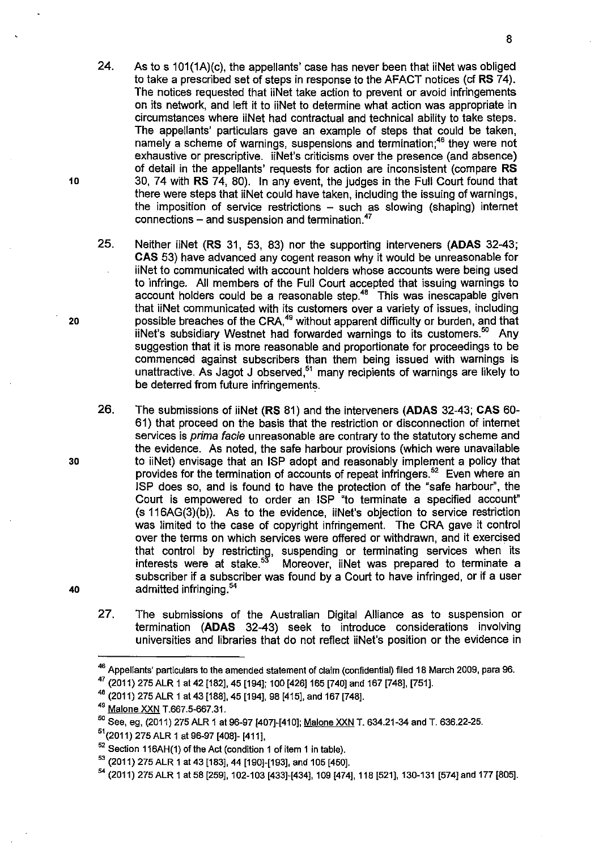- 24. As to s 101(1A)(c), the appellants' case has never been that iiNet was obliged to take a prescribed set of steps in response to the AFACT notices (cf **RS** 74). The notices requested that iiNet take action to prevent or avoid infringements on its network, and left it to iiNet to determine what action was appropriate in circumstances where iiNet had contractual and technical ability to take steps. The appellants' particulars gave an example of steps that could be taken, namely a scheme of warnings, suspensions and termination;<sup>46</sup> they were not exhaustive or prescriptive. iiNet's criticisms over the presence (and absence) of detail in the appellants' requests for action are inconsistent (compare **RS**  10 30, 74 with **RS** 74, 80). In any event, the judges in the Full Court found that there were steps that iiNet could have taken, including the issuing of warnings, the imposition of service restrictions  $-$  such as slowing (shaping) internet connections  $-$  and suspension and termination.<sup>47</sup>
- 25. Neither iiNet **(RS** 31, 53, 83) nor the supporting interveners **(ADAS** 32-43; **CAS** 53) have advanced any cogent reason why it would be unreasonable for iiNet to communicated with account holders whose accounts were being used to infringe. All members of the Full Court accepted that issuing warnings to account holders could be a reasonable step. $48$  This was inescapable given that iiNet communicated with its customers over a variety of issues, including 20 possible breaches of the CRA,<sup>49</sup> without apparent difficulty or burden, and that iiNet's subsidiary Westnet had forwarded warnings to its customers.<sup>50</sup> Any suggestion that it is more reasonable and proportionate for proceedings to be commenced against subscribers than them being issued with warnings is unattractive. As Jagot J observed,<sup>51</sup> many recipients of warnings are likely to be deterred from future infringements.
- 26. The submissions of iiNet **(RS** 81) and the interveners **(ADAS** 32-43; **CAS** 60- 61) that proceed on the basis that the restriction or disconnection of internet services is *prima facie* unreasonable are contrary to the statutory scheme and the evidence. As noted, the safe harbour provisions (which were unavailable 30 to iiNet) envisage that an ISP adopt and reasonably implement a policy that provides for the termination of accounts of repeat infringers.<sup>52</sup> Even where an ISP does so, and is found to have the protection of the "safe harbour", the Court is empowered to order an ISP "to terminate a specified account" (s 116AG(3)(b)). As to the evidence, iiNet's objection to service restriction was limited to the case of copyright infringement. The CRA gave it control over the terms on which services were offered or withdrawn, and it exercised that control by restricting, suspending or terminating services when its interests were at stake.<sup>53</sup> Moreover, iiNet was prepared to terminate a Moreover, iiNet was prepared to terminate a subscriber if a subscriber was found by a Court to have infringed, or if a user 40 admitted infringing.<sup>54</sup>
	- 27. The submissions of the Australian Digital Alliance as to suspension or termination **(ADAS** 32-43) seek to introduce considerations involving universities and libraries that do not reflect iiNet's position or the evidence in

<sup>&</sup>lt;sup>46</sup> Appellants' particulars to the amended statement of claim (confidential) filed 18 March 2009, para 96.

<sup>47 (2011) 275</sup> ALR 1 at 42 [182], 45 [194]; 100 [426] 165 [740] and 167 [748], [751].

<sup>&</sup>lt;sup>48</sup> (2011) 275 ALR 1 at 43 [188], 45 [194], 98 [415], and 167 [748].

<sup>49</sup> Malone XXN T.667.5-667.31.

<sup>&</sup>lt;sup>50</sup> See, eg, (2011) 275 ALR 1 at 96-97 [407]-[410]; Malone XXN T. 634.21-34 and T. 636.22-25.

 $<sup>51</sup>(2011)$  275 ALR 1 at 96-97 [408]- [411],</sup>

<sup>&</sup>lt;sup>52</sup> Section 116AH(1) of the Act (condition 1 of item 1 in table).

<sup>&</sup>lt;sup>53</sup> (2011) 275 ALR 1 at 43 [183], 44 [190]-[193], and 105 [450].

<sup>54</sup>(2011) 275 ALR 1 at 58 [259], 102-103 (433]-[434], 109 (474], 118 [521], 130-131 [574] and 177 [805].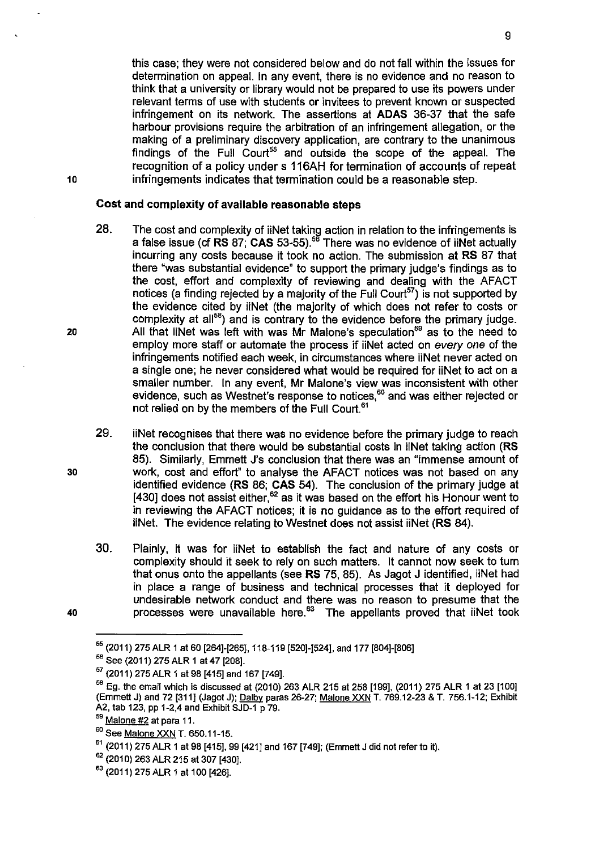this case; they were not considered below and do not fall within the issues for determination on appeal. In any event, there is no evidence and no reason to think that a university or library would not be prepared to use its powers under relevant terms of use with students or invitees to prevent known or suspected infringement on its network. The assertions at **ADAS** 36-37 that the safe harbour provisions require the arbitration of an infringement allegation, or the making of a preliminary discovery application, are contrary to the unanimous findings of the Full Court<sup>55</sup> and outside the scope of the appeal. The recognition of a policy under s 116AH for termination of accounts of repeat infringements indicates that termination could be a reasonable step.

# **Cost and complexity of available reasonable steps**

- 28. The cost and complexity of iiNet taking action in relation to the infringements is a false issue (cf **RS** 87; **CAS** 53-55).<sup>56</sup>There was no evidence of iiNet actually incurring any costs because it took no action. The submission at **RS** 87 that there "was substantial evidence" to support the primary judge's findings as to the cost, effort and complexity of reviewing and dealing with the AFACT notices (a finding rejected by a majority of the Full Court<sup>57</sup>) is not supported by the evidence cited by iiNet (the majority of which does not refer to costs or complexity at all<sup>58</sup>) and is contrary to the evidence before the primary judge. All that iiNet was left with was Mr Malone's speculation<sup>59</sup> as to the need to employ more staff or automate the process if iiNet acted on every one of the infringements notified each week, in circumstances where iiNet never acted on a single one; he never considered what would be required for iiNet to act on a smaller number. In any event, **Mr** Malone's view was inconsistent with other evidence, such as Westnet's response to notices,<sup>60</sup> and was either rejected or not relied on by the members of the Full Court<sup>61</sup>
- 29. iiNet recognises that there was no evidence before the primary judge to reach the conclusion that there would be substantial costs in iiNet taking action **(RS**  85). Similarly, Emmett J's conclusion that there was an "immense amount of work, cost and effort" to analyse the AFACT notices was not based on any identified evidence **(RS** 86; **CAS** 54). The conclusion of the primary judge at [430] does not assist either, $62$  as it was based on the effort his Honour went to in reviewing the AFACT notices; it is no guidance as to the effort required of iiNet. The evidence relating to Westnet does not assist iiNet **(RS** 84).
- 30. Plainly, it was for iiNet to establish the fact and nature of any costs or complexity should it seek to rely on such matters. It cannot now seek to turn that onus onto the appellants (see **RS** 75, 85). As Jagot J identified, iiNet had in place a range of business and technical processes that it deployed for undesirable network conduct and there was no reason to presume that the processes were unavailable here.<sup>63</sup> The appellants proved that iiNet took

20

30

<sup>55</sup>(2011) 275 ALR 1 at 60 [264]-[265], 118-119 [520]-[524], and 177 [804]-[806]

<sup>&</sup>lt;sup>56</sup> See (2011) 275 ALR 1 at 47 [208].

*Sl* (2011) 275 ALR 1 at 98 [415] and 167 [749].

 $^{58}$  Eg. the email which is discussed at (2010) 263 ALR 215 at 258 [199], (2011) 275 ALR 1 at 23 [100] (Emmett J) and 72 [311] (Jagot J); Dalby paras 26-27; Malone XXN T. 769.12-23 & T. 756.1-12; Exhibit A2, tab 123, pp 1-2,4 and Exhibit SJD-1 p 79.

 $59$  Malone #2 at para 11.

<sup>&</sup>lt;sup>60</sup> See Malone XXN T. 650.11-15.

 $^{61}$  (2011) 275 ALR 1 at 98 [415], 99 [421] and 167 [749]; (Emmett J did not refer to it).

 $62$  (2010) 263 ALR 215 at 307 [430].

<sup>&</sup>lt;sup>63</sup> (2011) 275 ALR 1 at 100 [426].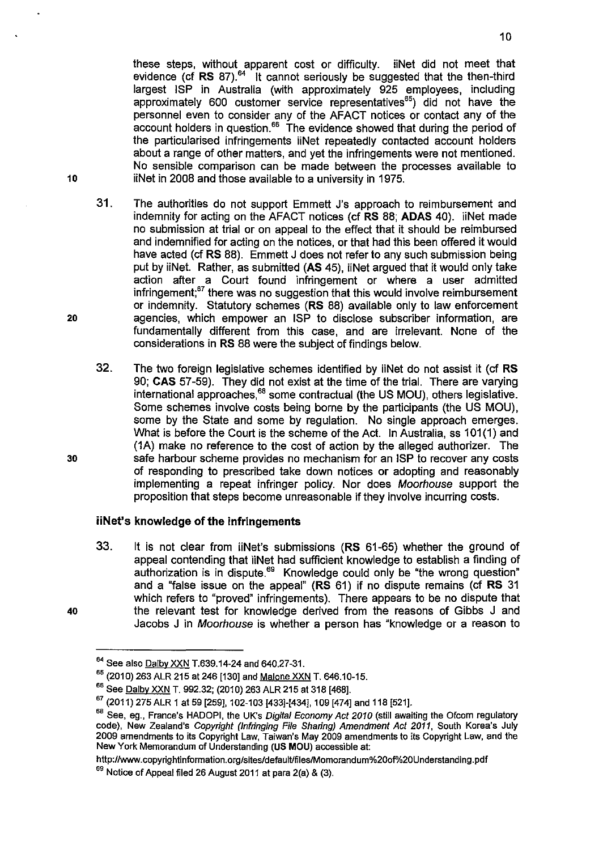these steps, without apparent cost or difficulty. iiNet did not meet that evidence (cf RS 87).<sup>64</sup> It cannot seriously be suggested that the then-third largest ISP in Australia (with approximately 925 employees, including approximately 600 customer service representatives<sup>65</sup>) did not have the personnel even to consider any of the AFACT notices or contact any of the account holders in question.<sup>66</sup> The evidence showed that during the period of the particularised infringements iiNet repeatedly contacted account holders about a range of other matters, and yet the infringements were not mentioned. No sensible comparison can be made between the processes available to iiNet in 2008 and those available to a university in 1975.

- 31. The authorities do not support Emmett J's approach to reimbursement and indemnity for acting on the AFACT notices (cf **RS** 88; **ADAS** 40). iiNet made no submission at trial or on appeal to the effect that it should be reimbursed and indemnified for acting on the notices, or that had this been offered it would have acted (cf **RS** 88). Emmett J does not refer to any such submission being put by iiNet. Rather, as submitted **(AS** 45), iiNet argued that it would only take action after a Court found infringement or where a user admitted infringement;<sup>67</sup> there was no suggestion that this would involve reimbursement or indemnity. Statutory schemes **(RS** 88) available only to law enforcement agencies, which empower an ISP to disclose subscriber information, are fundamentally different from this case, and are irrelevant. None of the considerations in **RS** 88 were the subject of findings below.
- 32. The two foreign legislative schemes identified by iiNet do not assist it (cf **RS**  90; **CAS** 57-59). They did not exist at the time of the trial. There are varying international approaches,<sup>68</sup> some contractual (the US MOU), others legislative. Some schemes involve costs being borne by the participants (the US MOU), some by the State and some by regulation. No single approach emerges. What is before the Court is the scheme of the Act. In Australia, ss 101(1) and (1A) make no reference to the cost of action by the alleged authorizer. The safe harbour scheme provides no mechanism for an ISP to recover any costs of responding to prescribed take down notices or adopting and reasonably implementing a repeat infringer policy. Nor does Moorhouse support the proposition that steps become unreasonable if they involve incurring costs.

# **iiNet's knowledge of the infringements**

33. It is not clear from iiNet's submissions **(RS** 61-65) whether the ground of appeal contending that iiNet had sufficient knowledge to establish a finding of authorization is in dispute.<sup>69</sup> Knowledge could only be "the wrong question" and a "false issue on the appeal" **(RS** 61) if no dispute remains (cf **RS** 31 which refers to "proved" infringements). There appears to be no dispute that the relevant test for knowledge derived from the reasons of Gibbs J and Jacobs J in Moorhouse is whether a person has "knowledge or a reason to

# 10

20

<sup>40</sup> 

<sup>&</sup>lt;sup>64</sup> See also **Dalby XXN** T.639.14-24 and 640.27-31.

<sup>&</sup>lt;sup>65</sup> (2010) 263 ALR 215 at 246 [130] and Malone XXN T. 646.10-15.

<sup>&</sup>lt;sup>66</sup> See Dalby XXN T. 992.32; (2010) 263 ALR 215 at 318 [468].

<sup>67</sup>(2011) 275 ALR 1 at 59 [259], 102-103 [433]-[434], 109 [474] and 118 [521].

<sup>68</sup> See, eg., France's HADOPI, the UK's Digital Economy Act 2010 (still awaiting the Ofcom regulatory code), New Zealand's Copyright (Infringing File Sharing) Amendment Act 2011, South Korea's July 2009 amendments to its Copyright Law, Taiwan's May 2009 amendments to its Copyright Law, and the New York Memorandum of Understanding (US MOU) accessible at:

http://www.copyrightinformation.org/sites/default/files/Momorandum%20of%20Understanding.pdf

 $69$  Notice of Appeal filed 26 August 2011 at para 2(a) & (3).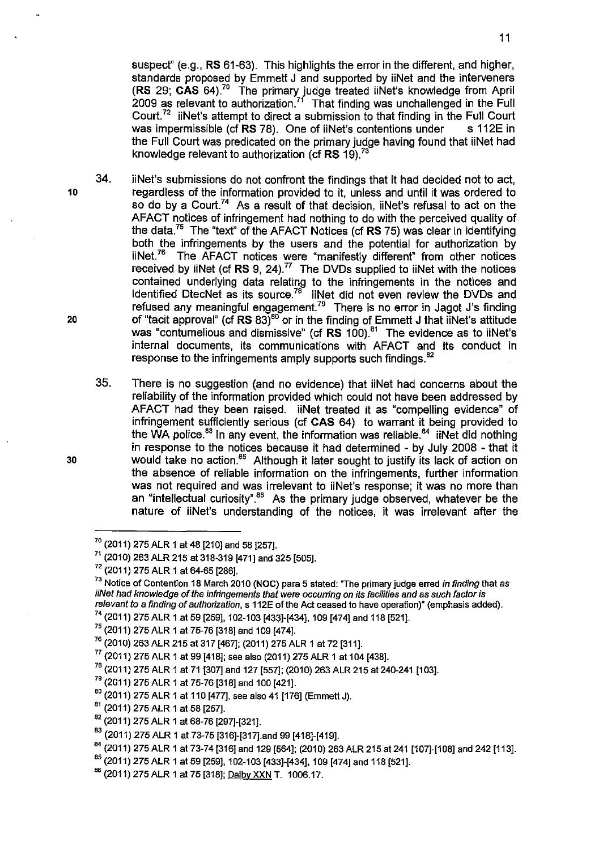suspect" (e.g., **RS** 61-63). This highlights the error in the different, and higher, standards proposed by Emmett J and supported by iiNet and the interveners **(RS 29; CAS 64).<sup>70</sup> The primary judge treated iiNet's knowledge from April** 2009 as relevant to authorization.<sup>71</sup> That finding was unchallenged in the Full Court.<sup>72</sup> iiNet's attempt to direct a submission to that finding in the Full Court was impermissible (cf RS 78). One of iiNet's contentions under s 112E in was impermissible (cf RS 78). One of iiNet's contentions under the Full Court was predicated on the primary judge having found that iiNet had knowledge relevant to authorization (cf **RS** 19).<sup>73</sup>

- 34. iiNet's submissions do not confront the findings that it had decided not to act, 10 regardless of the information provided to it, unless and until it was ordered to so do by a Court.<sup>74</sup> As a result of that decision, iiNet's refusal to act on the AFACT notices of infringement had nothing to do with the perceived quality of the data.<sup>75</sup> The "text" of the AFACT Notices (cf **RS** 75) was clear in identifying both the infringements by the users and the potential for authorization by iiNet.<sup>76</sup> The AFACT notices were "manifestly different" from other notices received by iiNet (cf  $RS$   $9. 24$ ).<sup>77</sup> The DVDs supplied to iiNet with the notices contained underlying data relating to the infringements in the notices and identified DtecNet as its source.<sup>78</sup> iiNet did not even review the DVDs and refused any meaningful engagement.<sup>79</sup> There is no error in Jagot J's finding 20 of "tacit approval" (cf **RS** 83)<sup>80</sup> or in the finding of Emmett J that iiNet's attitude was "contumelious and dismissive" (cf **RS** 100).<sup>81</sup> The evidence as to iiNet's internal documents, its communications with AFACT and its conduct in response to the infringements amply supports such findings.<sup>82</sup>
- 35. There is no suggestion (and no evidence) that iiNet had concerns about the reliability of the information provided which could not have been addressed by AFACT had they been raised. iiNet treated it as "compelling evidence" of infringement sufficiently serious (cf **CAS** 64) to warrant it being provided to the WA police.<sup>83</sup> In any event, the information was reliable.<sup>84</sup> iiNet did nothing in response to the notices because it had determined - by July 2008 - that it 30 would take no action.<sup>85</sup> Although it later sought to justify its lack of action on the absence of reliable information on the infringements, further information was not required and was irrelevant to iiNet's response; it was no more than an "intellectual curiosity". $86$  As the primary judge observed, whatever be the nature of iiNet's understanding of the notices, it was irrelevant after the

 $^{70}$  (2011) 275 ALR 1 at 48 [210] and 58 [257].

 $71$  (2010) 263 ALR 215 at 318-319 [471] and 325 [505].

<sup>72</sup>(2011) 275 ALR 1 at 64-65 [286].

<sup>&</sup>lt;sup>73</sup> Notice of Contention 18 March 2010 (NOC) para 5 stated: "The primary judge erred in finding that as iiNet had knowledge of the infringements that were occurring on its facilities and as such factor is relevant to a finding of authorization, s 112E of the Act ceased to have operation)" (emphasis added).

<sup>&</sup>lt;sup>74</sup> (2011) 275 ALR 1 at 59 [259], 102-103 [433]-[434], 109 [474] and 118 [521].

<sup>&</sup>lt;sup>75</sup> (2011) 275 ALR 1 at 75-76 [318] and 109 [474].

<sup>&</sup>lt;sup>76</sup> (2010) 263 ALR 215 at 317 [467]; (2011) 275 ALR 1 at 72 [311].

 $^{77}$  (2011) 275 ALR 1 at 99 [418]; see also (2011) 275 ALR 1 at 104 [438].

 $^{78}$  (2011) 275 ALR 1 at 71 [307] and 127 [557]; (2010) 263 ALR 215 at 240-241 [103].<br><sup>79</sup> (2011) 275 ALR 1 at 75-76 [318] and 100 [421].

 $80$  (2011) 275 ALR 1 at 110 [477], see also 41 [176] (Emmett J).

 $81$  (2011) 275 ALR 1 at 58 [257].

<sup>&</sup>lt;sup>82</sup> (2011) 275 ALR 1 at 68-76 [297]-[321].

<sup>&</sup>lt;sup>83</sup> (2011) 275 ALR 1 at 73-75 [316]-[317].and 99 [418]-[419].

<sup>&</sup>lt;sup>84</sup> (2011) 275 ALR 1 at 73-74 [316] and 129 [564]; (2010) 263 ALR 215 at 241 [107]-[108] and 242 [113].

<sup>85</sup>(2011) 275 ALR 1 at 59 [259], 102-103 [433]-[434], 109 [474] and 118 [521].

<sup>&</sup>lt;sup>86</sup> (2011) 275 ALR 1 at 75 [318]; <u>Dalby XXN</u> T. 1006.17.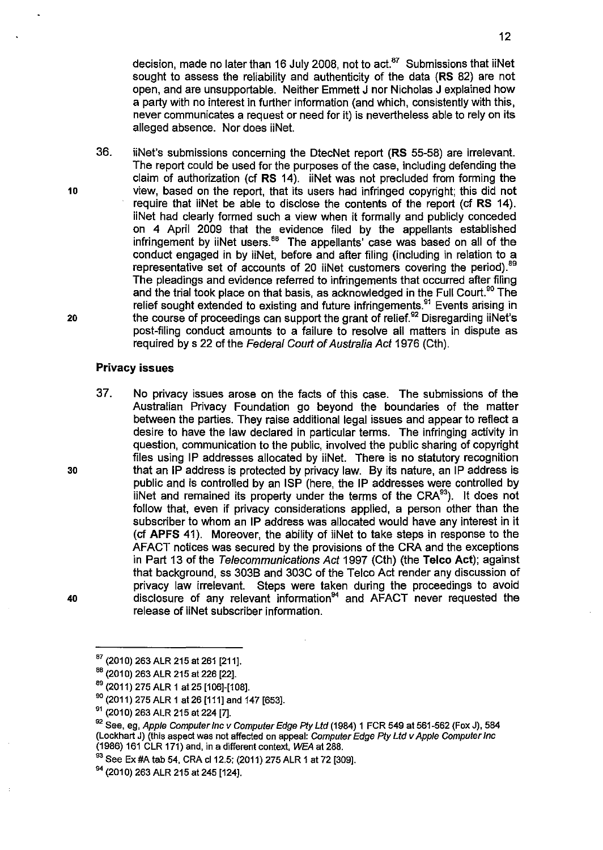decision, made no later than 16 July 2008, not to  $act<sup>87</sup>$  Submissions that iiNet sought to assess the reliability and authenticity of the data (RS 82) are not open, and are unsupportable. Neither Emmett J nor Nicholas J explained how a party with no interest in further information (and which, consistently with this, never communicates a request or need for it) is nevertheless able to rely on its alleged absence. Nor does iiNet.

36. iiNet's submissions concerning the DtecNet report (RS 55-58) are irrelevant. The report could be used for the purposes of the case, including defending the claim of authorization (cf RS 14). iiNet was not precluded from forming the view, based on the report, that its users had infringed copyright; this did not require that iiNet be able to disclose the contents of the report (cf RS 14). iiNet had clearly formed such a view when it formally and publicly conceded on 4 April 2009 that the evidence filed by the appellants established infringement by iiNet users. $88$  The appellants' case was based on all of the conduct engaged in by iiNet, before and after filing (including in relation to a representative set of accounts of 20 iiNet customers covering the period).<sup>89</sup> The pleadings and evidence referred to infringements that occurred after filing and the trial took place on that basis, as acknowledged in the Full Court.<sup>90</sup> The relief sought extended to existing and future infringements.<sup>91</sup> Events arising in the course of proceedings can support the grant of relief.<sup>92</sup> Disregarding iiNet's post-filing conduct amounts to a failure to resolve all matters in dispute as required by s 22 of the Federal Court of Australia Act 1976 (Cth).

# Privacy issues

37. No privacy issues arose on the facts of this case. The submissions of the Australian Privacy Foundation go beyond the boundaries of the matter between the parties. They raise additional legal issues and appear to reflect a desire to have the law declared in particular terms. The infringing activity in question, communication to the public, involved the public sharing of copyright files using IP addresses allocated by iiNet. There is no statutory recognition that an IP address is protected by privacy law. By its nature, an IP address is public and is controlled by an ISP (here, the IP addresses were controlled by iiNet and remained its property under the terms of the CRA $^{93}$ ). It does not follow that, even if privacy considerations applied, a person other than the subscriber to whom an IP address was allocated would have any interest in it (cf APFS 41). Moreover, the ability of iiNet to take steps in response to the AFACT notices was secured by the provisions of the CRA and the exceptions in Part 13 of the Telecommunications Act 1997 (Cth) (the Telco Act); against that background, ss 3038 and 303C of the Telco Act render any discussion of privacy law irrelevant. Steps were taken during the proceedings to avoid disclosure of any relevant information<sup>94</sup> and  $AFACT$  never requested the release of iiNet subscriber information.

10

20

30

 $87$  (2010) 263 ALR 215 at 261 [211].

<sup>&</sup>lt;sup>88</sup> (2010) 263 ALR 215 at 226 [22].

<sup>89</sup>(2011) 275 ALR 1 at25 [106]-[108].

 $90$  (2011) 275 ALR 1 at 26 [111] and 147 [653].

<sup>&</sup>lt;sup>91</sup> (2010) 263 ALR 215 at 224 [7].

<sup>&</sup>lt;sup>92</sup> See, eg, Apple Computer Inc v Computer Edge Pty Ltd (1984) 1 FCR 549 at 561-562 (Fox J), 584 (Lockhart J) (this aspect was not affected on appeal: Computer Edge *Ply* Ltd v Apple Computer Inc (1986) 161 CLR 171) and, in a different context, WEA at 288.

<sup>93</sup> See Ex #A tab 54, CRA cl 12.5; (2011) 275 ALR 1 at 72 [309].

<sup>&</sup>lt;sup>94</sup> (2010) 263 ALR 215 at 245 [124].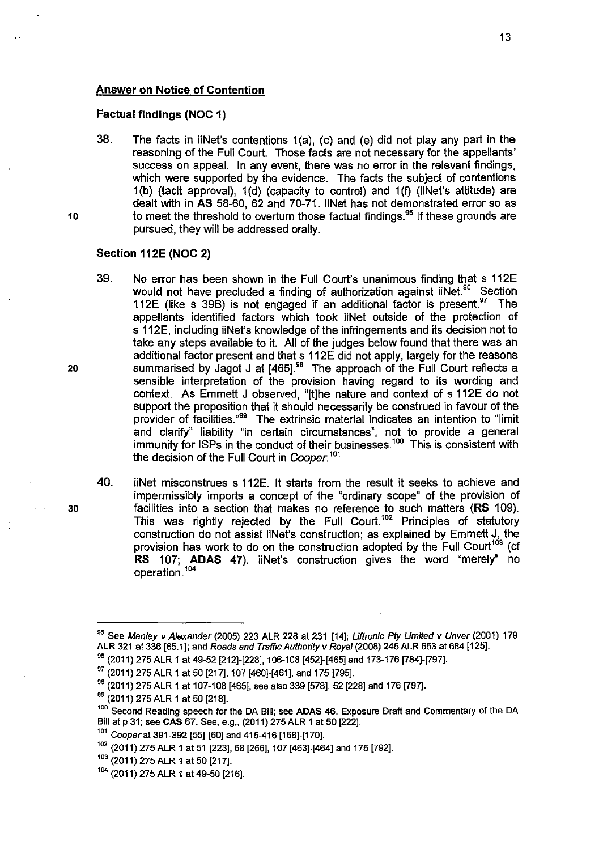# **Answer on Notice of Contention**

#### **Factual findings (NOC 1)**

38. The facts in iiNet's contentions 1 (a), (c) and (e) did not play any part in the reasoning of the Full Court. Those facts are not necessary for the appellants' success on appeal. In any event, there was no error in the relevant findings, which were supported by the evidence. The facts the subject of contentions 1 (b) (tacit approval), 1 (d) (capacity to control) and 1 (f) (iiNet's attitude) are dealt with in **AS** 58-60, 62 and 70-71. iiNet has not demonstrated error so as to meet the threshold to overturn those factual findings.  $95$  If these grounds are pursued, they will be addressed orally.

# **Section 112E (NOC 2)**

10

- 39. No error has been shown in the Full Court's unanimous finding that s 112E would not have precluded a finding of authorization against iiNet.<sup>96</sup> Section 112E (like s 39B) is not engaged if an additional factor is present.  $97$  The appellants identified factors which took iiNet outside of the protection of s 112E, including iiNet's knowledge of the infringements and its decision not to take any steps available to it. All of the judges below found that there was an additional factor present and that s 112E did not apply, largely for the reasons 20 summarised by Jagot J at [465].<sup>98</sup> The approach of the Full Court reflects a sensible interpretation of the provision having regard to its wording and context. As Emmett J observed, "[!]he nature and context of s 112E do not support the proposition that it should necessarily be construed in favour of the provider of facilities."<sup>99</sup> The extrinsic material indicates an intention to "limit and clarify" liability "in certain circumstances", not to provide a general immunity for ISPs in the conduct of their businesses.<sup>100</sup> This is consistent with the decision of the Full Court in Cooper.<sup>101</sup>
- 40. iiNet misconstrues s 112E. It starts from the result it seeks to achieve and impermissibly imports a concept of the "ordinary scope" of the provision of 30 facilities into a section that makes no reference to such matters **(RS** 1 09). This was rightly rejected by the Full Court.<sup>102</sup> Principles of statutory construction do not assist iiNet's construction; as explained by Emmett J, the provision has work to do on the construction adopted by the Full Court<sup>103</sup> (cf **RS** 107; **ADAS 47).** iiNet's construction gives the word "merely'' no operation. <sup>104</sup>

<sup>&</sup>lt;sup>95</sup> See Manley v Alexander (2005) 223 ALR 228 at 231 [14]; Liftronic Pty Limited v Unver (2001) 179<br>ALR 321 at 336 [65.1]; and Roads and Traffic Authority v Royal (2008) 245 ALR 653 at 684 [125].

 $^{96}$  (2011) 275 ALR 1 at 49-52 [212]-[228], 106-108 [452]-[465] and 173-176 [784]-[797].

<sup>&</sup>lt;sup>97</sup> (2011) 275 ALR 1 at 50 [217], 107 [460]-[461], and 175 [795].

<sup>&</sup>lt;sup>98</sup> (2011) 275 ALR 1 at 107-108 [465], see also 339 [578], 52 [228] and 176 [797].

<sup>&</sup>lt;sup>99</sup> (2011) 275 ALR 1 at 50 [218].

<sup>&</sup>lt;sup>100</sup> Second Reading speech for the DA Bill; see ADAS 46. Exposure Draft and Commentary of the DA Bill at p 31; see CAS 67. See, e.g,. (2011) 275 ALR 1 at 50 [222].

 $101$  Cooper at 391-392 [55]-[60] and 415-416 [168]-[170].

<sup>102</sup>(2011) 275 ALR 1 at 51 [223], 58 [256], 107 [463]-[464] and 175 [792].

<sup>&</sup>lt;sup>103</sup> (2011) 275 ALR 1 at 50 [217].

<sup>104</sup>(2011) 275 ALR 1 at 49-50 [216].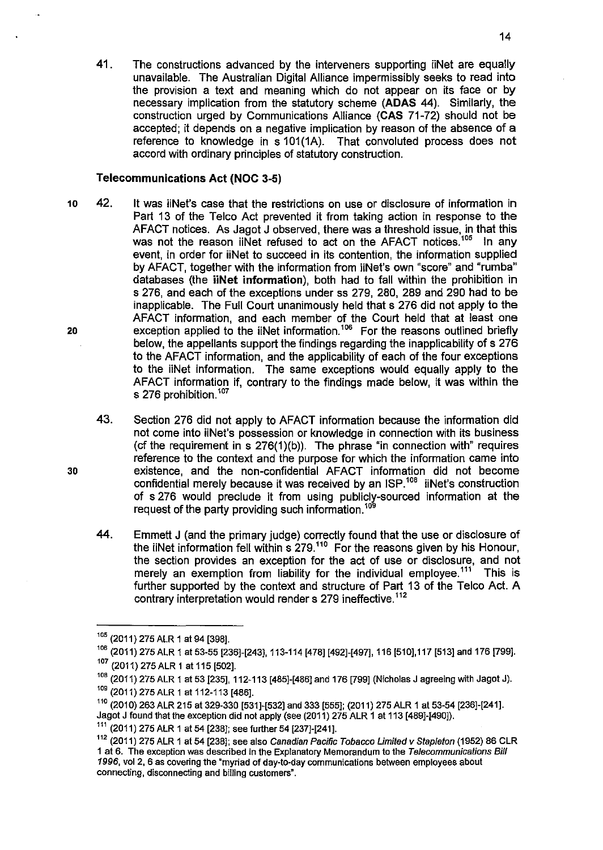41. The constructions advanced by the interveners supporting iiNet are equally unavailable. The Australian Digital Alliance impermissibly seeks to read into the provision a text and meaning which do not appear on its face or by necessary implication from the statutory scheme **(ADAS** 44). Similarly, the construction urged by Communications Alliance **(CAS** 71-72) should not be accepted; it depends on a negative implication by reason of the absence of a reference to knowledge in s 101(1A). That convoluted process does not accord with ordinary principles of statutory construction.

# **Telecommunications Act (NOC** 3-5)

- 10 42. It was iiNet's case that the restrictions on use or disclosure of information in Part 13 of the Telco Act prevented it from taking action in response to the AFACT notices. As Jagot J observed, there was a threshold issue, in that this was not the reason iiNet refused to act on the AFACT notices.<sup>105</sup> In any event, in order for iiNet to succeed in its contention, the information supplied by AFACT, together with the information from iiNet's own "score" and "rumba" databases (the **iiNet information),** both had to fall within the prohibition in s 276, and each of the exceptions under ss 279, 280, 289 and 290 had to be inapplicable. The Full Court unanimously held that s 276 did not apply to the AFACT information, and each member of the Court held that at least one exception applied to the iiNet information.<sup>106</sup> For the reasons outlined briefly below, the appellants support the findings regarding the inapplicability of s 276 to the AFACT information, and the applicability of each of the four exceptions to the iiNet information. The same exceptions would equally apply to the AFACT information if, contrary to the findings made below, it was within the s 276 prohibition.<sup>107</sup> 20
	- 43. Section 276 did not apply to AFACT information because the information did not come into iiNet's possession or knowledge in connection with its business (cf the requirement in  $s$  276(1)(b)). The phrase "in connection with" requires reference to the context and the purpose for which the information came into existence, and the non-confidential AFACT information did not become confidential merely because it was received by an  $ISP<sup>108</sup>$  iiNet's construction of s 276 would preclude it from using publicly-sourced information at the request of the party providing such information.<sup>109</sup>
	- 44. Emmett J (and the primary judge) correctly found that the use or disclosure of the iiNet information fell within  $\frac{1}{2}$  279.<sup>110</sup> For the reasons given by his Honour, the section provides an exception for the act of use or disclosure, and not merely an exemption from liability for the individual employee.<sup>111</sup> This is further supported by the context and structure of Part 13 of the Telco Act. A contrary interpretation would render s 279 ineffective.<sup>112</sup>

<sup>105</sup>(2011) 275 ALR 1 at 94 [398].

<sup>106</sup>(2011) 275 ALR 1 at 53-55 [236]-[243], 113-114 [478] [492]-[497], 116 [510], 117 [513] and 176 [799].

<sup>&</sup>lt;sup>107</sup> (2011) 275 ALR 1 at 115 [502].

<sup>108</sup>(2011) 275 ALR 1 at 53 [235], 112-113 [485]-[486] and 176 [799] (Nicholas J agreeing with Jagot J).

<sup>109 (2011) 275</sup> ALR 1 at 112-113 [486].

<sup>110</sup>(2010) 263 ALR 215 at 329-330 [531]-[532] and 333 [555]; (2011) 275 ALR 1 at 53-54 [236]-[241]. Jagot J found that the exception did not apply (see (2011) 275 ALR 1 at 113 [489]-[490]).

<sup>111</sup>(2011) 275 ALR 1 at 54 [238]; see further 54 [237]-[241].

<sup>&</sup>lt;sup>112</sup> (2011) 275 ALR 1 at 54 [238]; see also Canadian Pacific Tobacco Limited v Stapleton (1952) 86 CLR 1 at 6. The exception was described in the Explanatory Memorandum to the Telecommunications Bill 1996, vol 2, 6 as covering the "myriad of day-to-day communications between employees about connecting, disconnecting and billing customers".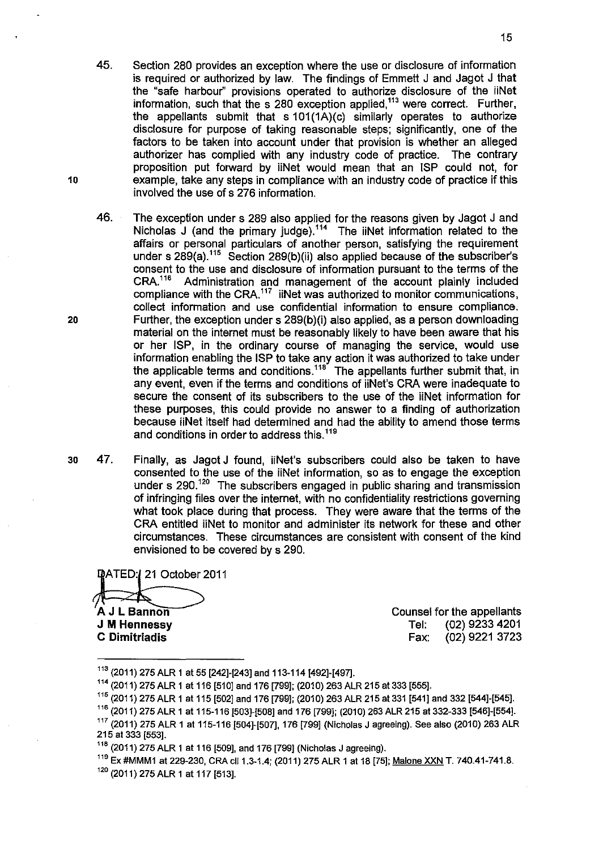- 45. Section 280 provides an exception where the use or disclosure of information is required or authorized by law. The findings of Emmett J and Jagot J that the "safe harbour" provisions operated to authorize disclosure of the iiNet information, such that the s 280 exception applied,<sup>113</sup> were correct. Further, the appellants submit that s 101(1A)(c) similarly operates to authorize disclosure for purpose of taking reasonable steps; significantly, one of the factors to be taken into account under that provision is whether an alleged authorizer has complied with any industry code of practice. The contrary proposition put forward by iiNet would mean that an ISP could not, for 10 example, take any steps in compliance with an industry code of practice if this involved the use of s 276 information.
- 46. The exception under s 289 also applied for the reasons given by Jagot J and Nicholas J (and the primary judge).<sup>114</sup> The iiNet information related to the affairs or personal particulars of another person, satisfying the requirement under s  $289(a)$ .<sup>115</sup> Section 289(b)(ii) also applied because of the subscriber's consent to the use and disclosure of information pursuant to the terms of the CRA.<sup>116</sup> Administration and management of the account plainly included Administration and management of the account plainly included compliance with the CRA. $117$  iiNet was authorized to monitor communications, collect information and use confidential information to ensure compliance. 20 Further, the exception under s 289(b)(i) also applied, as a person downloading material on the internet must be reasonably likely to have been aware that his or her ISP, in the ordinary course of managing the service, would use information enabling the ISP to take any action it was authorized to take under the applicable terms and conditions.<sup>118</sup> The appellants further submit that, in any event, even if the terms and conditions of iiNet's CRA were inadequate to secure the consent of its subscribers to the use of the iiNet information for these purposes, this could provide no answer to a finding of authorization because iiNet itself had determined and had the ability to amend those terms and conditions in order to address this.<sup>119</sup>
- 30 47. Finally, as Jagot J found, iiNet's subscribers could also be taken to have consented to the use of the iiNet information, so as to engage the exception under s 290.<sup>120</sup> The subscribers engaged in public sharing and transmission of infringing files over the internet, with no confidentiality restrictions governing what took place during that process. They were aware that the terrns of the CRA entitled iiNet to monitor and administer its network for these and other circumstances. These circumstances are consistent with consent of the kind envisioned to be covered by s 290.

DATED: 121 October 2011 A J L Bannon **J M Hennessy C** Dimitriadis

Counsel for the appellants Tel: (02) 9233 4201 Fax: (02) 9221 3723

<sup>113</sup>(2011) 275 ALR 1 at 55 [242]-[243] and 113-114 [492]-[497].

<sup>114</sup>(2011) 275 ALR 1 at 116 [510] and 176 [799]; (2010) 263 ALR 215 at 333 [555].

 $^{115}$  (2011) 275 ALR 1 at 115 [502] and 176 [799]; (2010) 263 ALR 215 at 331 [541] and 332 [544]-[545].

<sup>116</sup>(2011) 275 ALR 1 at 115-116 [503]-[508] and 176 [799]; (2010) 263 ALR 215 at 332-333 [546]-[554].

 $117$  (2011) 275 ALR 1 at 115-116 [504]-[507], 176 [799] (Nicholas J agreeing). See also (2010) 263 ALR 215 at 333 [553].

<sup>118</sup>(2011) 275 ALR 1 at 116 [509], and 176 [799] (Nicholas J agreeing).

<sup>&</sup>lt;sup>119</sup> Ex #MMM1 at 229-230, CRA cll 1.3-1.4; (2011) 275 ALR 1 at 18 [75]; <u>Malone XXN</u> T. 740.41-741.8.

<sup>120</sup>(2011) 275ALR 1 at 117 [513].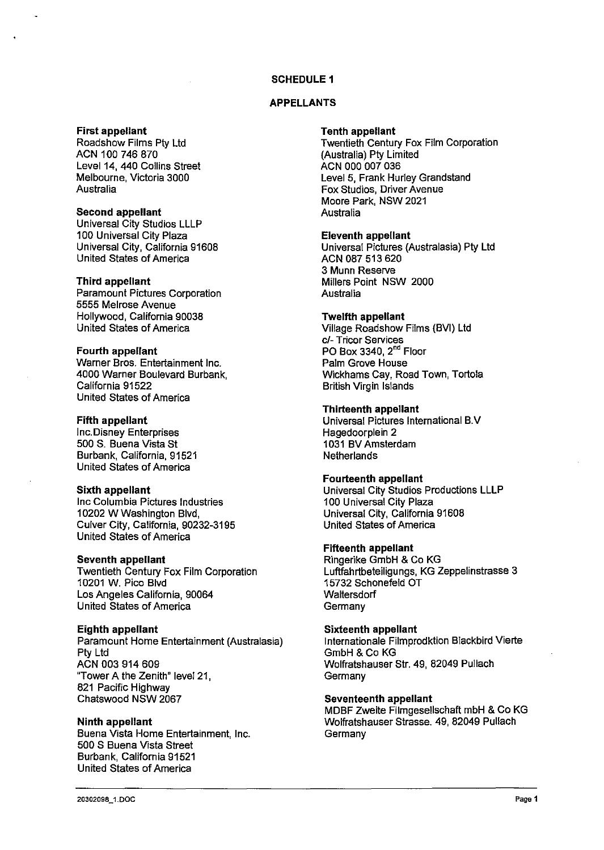# **SCHEDULE 1**

## **APPELLANTS**

## **First appellant**

Roadshow Films Pty Ltd ACN 100 746 870 Level 14, 440 Collins Street Melbourne, Victoria 3000 Australia

## **Second appellant**

Universal City Studios LLLP 100 Universal City Plaza Universal City, California 91608 United States of America

## **Third appellant**

Paramount Pictures Corporation 5555 Melrose Avenue Hollywood, California 90038 United States of America

#### **Fourth appellant**

Warner Bros. Entertainment Inc. 4000 Warner Boulevard Burbank, California 91522 United States of America

## **Fifth appellant**

Inc. Disney Enterprises 500 S. Buena Vista St Burbank, California, 91521 United States of America

#### **Sixth appellant**

Inc Columbia Pictures Industries 10202 WWashington Blvd, Culver City, California, 90232-3195 United States of America

### **Seventh appellant**

Twentieth Century Fox Film Corporation 10201 W. Pice Blvd Los Angeles California, 90064 United States of America

#### **Eighth appellant**

Paramount Home Entertainment (Australasia) Pty Ltd ACN 003 914 609 "Tower A the Zenith" level 21, 821 Pacific Highway Chatswood NSW 2067

#### **Ninth appellant**

Buena Vista Home Entertainment, Inc. 500 S Buena Vista Street Burbank, California 91521 United States of America

#### **Tenth appellant**

Twentieth Century Fox Film Corporation (Australia) Pty Limited ACN 000 007 036 Level 5, Frank Hurley Grandstand Fox Studios, Driver Avenue Moore Park, NSW 2021 **Australia** 

#### **Eleventh appellant**

Universal Pictures (Australasia) Pty Ltd ACN 087 513 620 3 Munn Reserve Millers Point NSW 2000 Australia

#### **Twelfth appellant**

Village Roadshow Films (BVI) Ltd c/- Tricor Services PO Box 3340, 2<sup>nd</sup> Floor Palm Grove House Wickhams Cay, Road Town, Tortola British Virgin Islands

## **Thirteenth appellant**

Universal Pictures International B.V Hagedoorplein 2 1031 BV Amsterdam **Netherlands** 

# **Fourteenth appellant**

Universal City Studios Productions **LLLP**  100 Universal City Plaza Universal City, California 91608 United States of America

#### **Fifteenth appellant**

Ringerike GmbH & Co KG Luftfahrtbeteiligungs, KG Zeppelinstrasse 3 15732 Schonefeld OT **Waltersdorf Germany** 

## **Sixteenth appellant**

lnternationale Filmprodklion Blackbird Vierte GmbH & Co KG Wolfratshauser Sir. 49, 82049 Pullach Germany

#### **Seventeenth appellant**

MDBF Zweite Filmgesellschaft mbH & Co KG Wolfratshauser Strasse. 49, 82049 Pullach **Germany**